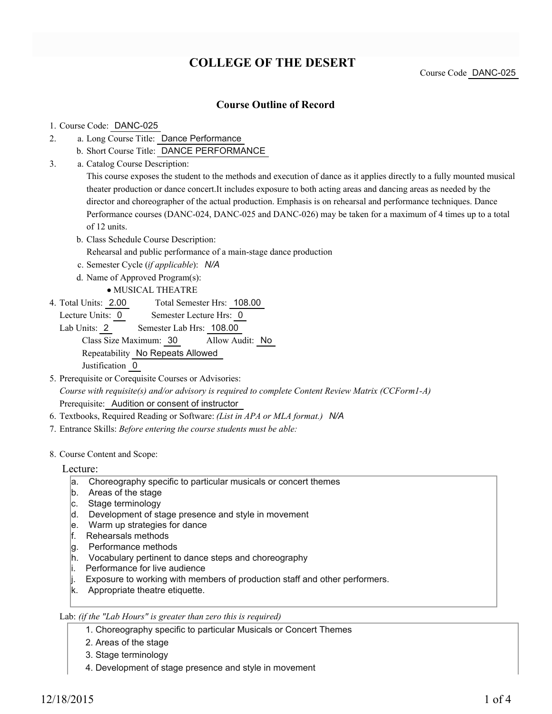# **COLLEGE OF THE DESERT**

Course Code DANC-025

### **Course Outline of Record**

### 1. Course Code: DANC-025

- a. Long Course Title: Dance Performance 2.
	- b. Short Course Title: DANCE PERFORMANCE
- Catalog Course Description: a. 3.

This course exposes the student to the methods and execution of dance as it applies directly to a fully mounted musical theater production or dance concert.It includes exposure to both acting areas and dancing areas as needed by the director and choreographer of the actual production. Emphasis is on rehearsal and performance techniques. Dance Performance courses (DANC-024, DANC-025 and DANC-026) may be taken for a maximum of 4 times up to a total of 12 units.

- b. Class Schedule Course Description: Rehearsal and public performance of a main-stage dance production
- c. Semester Cycle (*if applicable*): *N/A*
- d. Name of Approved Program(s):
	- MUSICAL THEATRE
- Total Semester Hrs: 108.00 4. Total Units: 2.00
	- Lecture Units: 0 Semester Lecture Hrs: 0

Lab Units: 2 Semester Lab Hrs: 108.00 Class Size Maximum: 30 Allow Audit: No Repeatability No Repeats Allowed Justification 0

- 5. Prerequisite or Corequisite Courses or Advisories: *Course with requisite(s) and/or advisory is required to complete Content Review Matrix (CCForm1-A)* Prerequisite: Audition or consent of instructor
- 6. Textbooks, Required Reading or Software: *(List in APA or MLA format.) N/A*
- 7. Entrance Skills: *Before entering the course students must be able:*
- 8. Course Content and Scope:

### Lecture:

- a. Choreography specific to particular musicals or concert themes
- b. Areas of the stage
- c. Stage terminology
- d. Development of stage presence and style in movement
- e. Warm up strategies for dance
- f. Rehearsals methods
- g. Performance methods
- h. Vocabulary pertinent to dance steps and choreography
- i. Performance for live audience
- $\parallel$ . Exposure to working with members of production staff and other performers.
- k. Appropriate theatre etiquette.

#### Lab: *(if the "Lab Hours" is greater than zero this is required)*

- 1. Choreography specific to particular Musicals or Concert Themes
- 2. Areas of the stage
- 3. Stage terminology
- 4. Development of stage presence and style in movement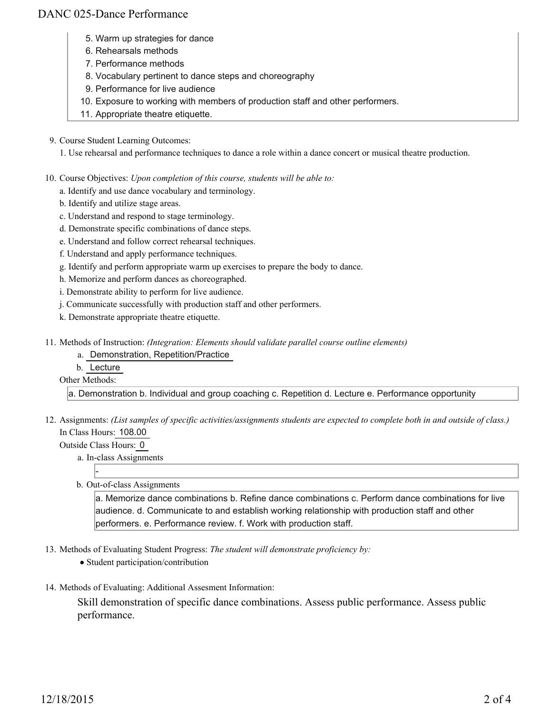## DANC 025-Dance Performance

- 5. Warm up strategies for dance
- 6. Rehearsals methods
- 7. Performance methods
- 8. Vocabulary pertinent to dance steps and choreography
- 9. Performance for live audience
- 10. Exposure to working with members of production staff and other performers.
- 11. Appropriate theatre etiquette.
- 9. Course Student Learning Outcomes:

1. Use rehearsal and performance techniques to dance a role within a dance concert or musical theatre production.

- 10. Course Objectives: Upon completion of this course, students will be able to:
	- a. Identify and use dance vocabulary and terminology.
	- b. Identify and utilize stage areas.
	- c. Understand and respond to stage terminology.
	- d. Demonstrate specific combinations of dance steps.
	- e. Understand and follow correct rehearsal techniques.
	- f. Understand and apply performance techniques.
	- g. Identify and perform appropriate warm up exercises to prepare the body to dance.
	- h. Memorize and perform dances as choreographed.
	- i. Demonstrate ability to perform for live audience.
	- j. Communicate successfully with production staff and other performers.
	- k. Demonstrate appropriate theatre etiquette.
- Methods of Instruction: *(Integration: Elements should validate parallel course outline elements)* 11.
	- a. Demonstration, Repetition/Practice
	- b. Lecture

#### Other Methods:

a. Demonstration b. Individual and group coaching c. Repetition d. Lecture e. Performance opportunity

- 12. Assignments: (List samples of specific activities/assignments students are expected to complete both in and outside of class.) In Class Hours: 108.00
	- Outside Class Hours: 0

-

a. In-class Assignments

b. Out-of-class Assignments

a. Memorize dance combinations b. Refine dance combinations c. Perform dance combinations for live audience. d. Communicate to and establish working relationship with production staff and other performers. e. Performance review. f. Work with production staff.

- 13. Methods of Evaluating Student Progress: The student will demonstrate proficiency by:
	- Student participation/contribution
- 14. Methods of Evaluating: Additional Assesment Information:

Skill demonstration of specific dance combinations. Assess public performance. Assess public performance.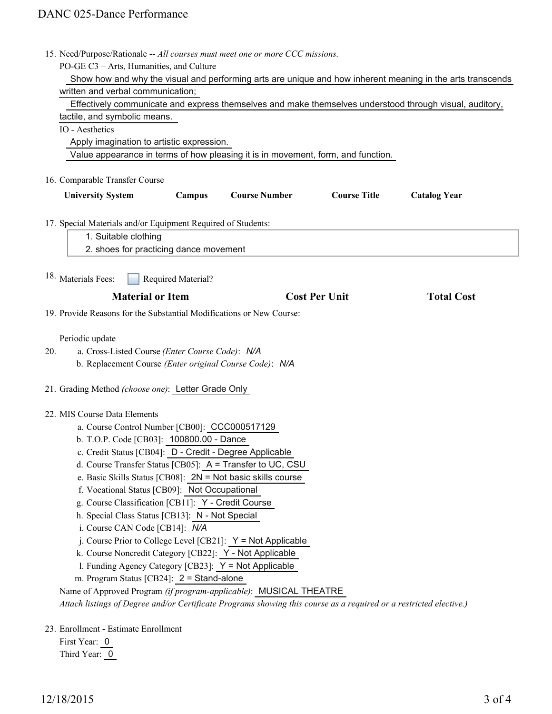|     | 15. Need/Purpose/Rationale -- All courses must meet one or more CCC missions.                                      |
|-----|--------------------------------------------------------------------------------------------------------------------|
|     | PO-GE C3 - Arts, Humanities, and Culture                                                                           |
|     | Show how and why the visual and performing arts are unique and how inherent meaning in the arts transcends         |
|     | written and verbal communication;                                                                                  |
|     | Effectively communicate and express themselves and make themselves understood through visual, auditory,            |
|     | tactile, and symbolic means.                                                                                       |
|     | IO - Aesthetics                                                                                                    |
|     | Apply imagination to artistic expression.                                                                          |
|     | Value appearance in terms of how pleasing it is in movement, form, and function.                                   |
|     |                                                                                                                    |
|     | 16. Comparable Transfer Course                                                                                     |
|     | <b>Course Title</b><br><b>University System</b><br>Campus<br><b>Course Number</b><br><b>Catalog Year</b>           |
|     | 17. Special Materials and/or Equipment Required of Students:                                                       |
|     | 1. Suitable clothing                                                                                               |
|     | 2. shoes for practicing dance movement                                                                             |
|     |                                                                                                                    |
|     | 18. Materials Fees:<br>Required Material?                                                                          |
|     | <b>Material or Item</b><br><b>Cost Per Unit</b><br><b>Total Cost</b>                                               |
|     | 19. Provide Reasons for the Substantial Modifications or New Course:                                               |
|     |                                                                                                                    |
|     | Periodic update                                                                                                    |
| 20. | a. Cross-Listed Course (Enter Course Code): N/A                                                                    |
|     | b. Replacement Course (Enter original Course Code): N/A                                                            |
|     | 21. Grading Method (choose one): Letter Grade Only                                                                 |
|     | 22. MIS Course Data Elements                                                                                       |
|     | a. Course Control Number [CB00]: CCC000517129                                                                      |
|     | b. T.O.P. Code [CB03]: 100800.00 - Dance                                                                           |
|     | c. Credit Status [CB04]: D - Credit - Degree Applicable                                                            |
|     | d. Course Transfer Status [CB05]: A = Transfer to UC, CSU                                                          |
|     | e. Basic Skills Status [CB08]: 2N = Not basic skills course                                                        |
|     | f. Vocational Status [CB09]: Not Occupational                                                                      |
|     | g. Course Classification [CB11]: Y - Credit Course                                                                 |
|     | h. Special Class Status [CB13]: N - Not Special                                                                    |
|     | i. Course CAN Code [CB14]: N/A                                                                                     |
|     | j. Course Prior to College Level [CB21]: $Y = Not$ Applicable                                                      |
|     | k. Course Noncredit Category [CB22]: Y - Not Applicable                                                            |
|     | I. Funding Agency Category [CB23]: Y = Not Applicable                                                              |
|     | m. Program Status [CB24]: $2 =$ Stand-alone                                                                        |
|     |                                                                                                                    |
|     | Name of Approved Program (if program-applicable): MUSICAL THEATRE                                                  |
|     | Attach listings of Degree and/or Certificate Programs showing this course as a required or a restricted elective.) |
|     | 23. Enrollment - Estimate Enrollment                                                                               |
|     | First Year: 0                                                                                                      |

Third Year: 0